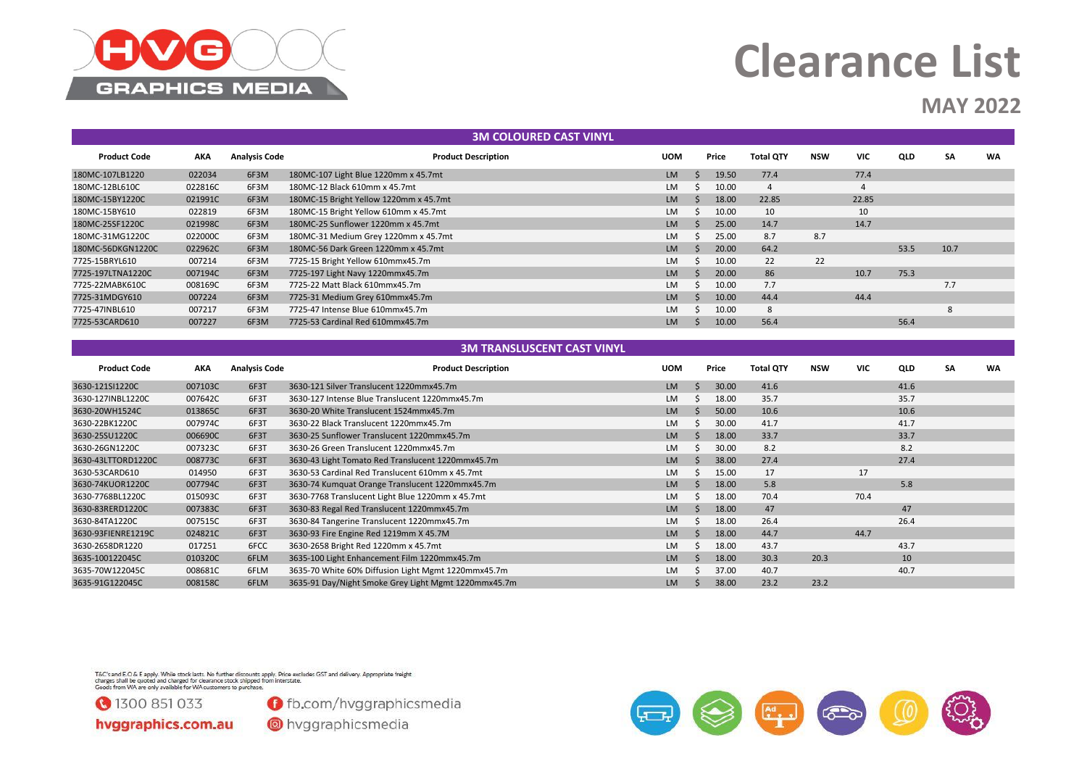

### **MAY 2022**

| <b>3M COLOURED CAST VINYL</b> |         |                      |                                        |            |  |       |                  |     |            |      |           |           |  |
|-------------------------------|---------|----------------------|----------------------------------------|------------|--|-------|------------------|-----|------------|------|-----------|-----------|--|
| <b>Product Code</b>           | AKA     | <b>Analysis Code</b> | <b>Product Description</b>             | <b>UOM</b> |  | Price | <b>Total QTY</b> | NSW | <b>VIC</b> | QLD  | <b>SA</b> | <b>WA</b> |  |
| 180MC-107LB1220               | 022034  | 6F3M                 | 180MC-107 Light Blue 1220mm x 45.7mt   | LM         |  | 19.50 | 77.4             |     | 77.4       |      |           |           |  |
| 180MC-12BL610C                | 022816C | 6F3M                 | 180MC-12 Black 610mm x 45.7mt          | LM.        |  | 10.00 | 4                |     |            |      |           |           |  |
| 180MC-15BY1220C               | 021991C | 6F3M                 | 180MC-15 Bright Yellow 1220mm x 45.7mt | <b>LM</b>  |  | 18.00 | 22.85            |     | 22.85      |      |           |           |  |
| 180MC-15BY610                 | 022819  | 6F3M                 | 180MC-15 Bright Yellow 610mm x 45.7mt  | LM.        |  | 10.00 | 10               |     | 10         |      |           |           |  |
| 180MC-25SF1220C               | 021998C | 6F3M                 | 180MC-25 Sunflower 1220mm x 45.7mt     | <b>LM</b>  |  | 25.00 | 14.7             |     | 14.7       |      |           |           |  |
| 180MC-31MG1220C               | 022000C | 6F3M                 | 180MC-31 Medium Grey 1220mm x 45.7mt   | LM.        |  | 25.00 | 8.7              | 8.7 |            |      |           |           |  |
| 180MC-56DKGN1220C             | 022962C | 6F3M                 | 180MC-56 Dark Green 1220mm x 45.7mt    | <b>LM</b>  |  | 20.00 | 64.2             |     |            | 53.5 | 10.7      |           |  |
| 7725-15BRYL610                | 007214  | 6F3M                 | 7725-15 Bright Yellow 610mmx45.7m      | LM.        |  | 10.00 | 22               | 22  |            |      |           |           |  |
| 7725-197LTNA1220C             | 007194C | 6F3M                 | 7725-197 Light Navy 1220mmx45.7m       | <b>LM</b>  |  | 20.00 | 86               |     | 10.7       | 75.3 |           |           |  |
| 7725-22MABK610C               | 008169C | 6F3M                 | 7725-22 Matt Black 610mmx45.7m         | LM.        |  | 10.00 | 7.7              |     |            |      | 7.7       |           |  |
| 7725-31MDGY610                | 007224  | 6F3M                 | 7725-31 Medium Grey 610mmx45.7m        | LM         |  | 10.00 | 44.4             |     | 44.4       |      |           |           |  |
| 7725-47INBL610                | 007217  | 6F3M                 | 7725-47 Intense Blue 610mmx45.7m       | LM.        |  | 10.00 | 8                |     |            |      | 8         |           |  |
| 7725-53CARD610                | 007227  | 6F3M                 | 7725-53 Cardinal Red 610mmx45.7m       | LM         |  | 10.00 | 56.4             |     |            | 56.4 |           |           |  |
|                               |         |                      |                                        |            |  |       |                  |     |            |      |           |           |  |
|                               |         |                      | <b>3M TRANSLUSCENT CAST VINYL</b>      |            |  |       |                  |     |            |      |           |           |  |

| <b>Product Code</b> | AKA     | <b>Analysis Code</b> | <b>Product Description</b>                           | <b>UOM</b> | Price | <b>Total QTY</b> | <b>NSW</b> | <b>VIC</b> | QLD  | <b>SA</b> | <b>WA</b> |
|---------------------|---------|----------------------|------------------------------------------------------|------------|-------|------------------|------------|------------|------|-----------|-----------|
| 3630-121SI1220C     | 007103C | 6F3T                 | 3630-121 Silver Translucent 1220mmx45.7m             | <b>LM</b>  | 30.00 | 41.6             |            |            | 41.6 |           |           |
| 3630-127INBL1220C   | 007642C | 6F3T                 | 3630-127 Intense Blue Translucent 1220mmx45.7m       | LM         | 18.00 | 35.7             |            |            | 35.7 |           |           |
| 3630-20WH1524C      | 013865C | 6F3T                 | 3630-20 White Translucent 1524mmx45.7m               | <b>LM</b>  | 50.00 | 10.6             |            |            | 10.6 |           |           |
| 3630-22BK1220C      | 007974C | 6F3T                 | 3630-22 Black Translucent 1220mmx45.7m               | <b>LM</b>  | 30.00 | 41.7             |            |            | 41.7 |           |           |
| 3630-25SU1220C      | 006690C | 6F3T                 | 3630-25 Sunflower Translucent 1220mmx45.7m           | <b>LM</b>  | 18.00 | 33.7             |            |            | 33.7 |           |           |
| 3630-26GN1220C      | 007323C | 6F3T                 | 3630-26 Green Translucent 1220mmx45.7m               | LM         | 30.00 | 8.2              |            |            | 8.2  |           |           |
| 3630-43LTTORD1220C  | 008773C | 6F3T                 | 3630-43 Light Tomato Red Translucent 1220mmx45.7m    | <b>LM</b>  | 38.00 | 27.4             |            |            | 27.4 |           |           |
| 3630-53CARD610      | 014950  | 6F3T                 | 3630-53 Cardinal Red Translucent 610mm x 45.7mt      | <b>LM</b>  | 15.00 | 17               |            | 17         |      |           |           |
| 3630-74KUOR1220C    | 007794C | 6F3T                 | 3630-74 Kumquat Orange Translucent 1220mmx45.7m      | <b>LM</b>  | 18.00 | 5.8              |            |            | 5.8  |           |           |
| 3630-7768BL1220C    | 015093C | 6F3T                 | 3630-7768 Translucent Light Blue 1220mm x 45.7mt     | <b>LM</b>  | 18.00 | 70.4             |            | 70.4       |      |           |           |
| 3630-83RERD1220C    | 007383C | 6F3T                 | 3630-83 Regal Red Translucent 1220mmx45.7m           | <b>LM</b>  | 18.00 | 47               |            |            | 47   |           |           |
| 3630-84TA1220C      | 007515C | 6F3T                 | 3630-84 Tangerine Translucent 1220mmx45.7m           | <b>LM</b>  | 18.00 | 26.4             |            |            | 26.4 |           |           |
| 3630-93FIENRE1219C  | 024821C | 6F3T                 | 3630-93 Fire Engine Red 1219mm X 45.7M               | <b>LM</b>  | 18.00 | 44.7             |            | 44.7       |      |           |           |
| 3630-2658DR1220     | 017251  | 6FCC                 | 3630-2658 Bright Red 1220mm x 45.7mt                 | <b>LM</b>  | 18.00 | 43.7             |            |            | 43.7 |           |           |
| 3635-100122045C     | 010320C | 6FLM                 | 3635-100 Light Enhancement Film 1220mmx45.7m         | <b>LM</b>  | 18.00 | 30.3             | 20.3       |            | 10   |           |           |
| 3635-70W122045C     | 008681C | 6FLM                 | 3635-70 White 60% Diffusion Light Mgmt 1220mmx45.7m  | <b>LM</b>  | 37.00 | 40.7             |            |            | 40.7 |           |           |
| 3635-91G122045C     | 008158C | 6FLM                 | 3635-91 Day/Night Smoke Grey Light Mgmt 1220mmx45.7m | <b>LM</b>  | 38.00 | 23.2             | 23.2       |            |      |           |           |

T&C's and E.O & E apply. While stock lasts. No further discounts apply. Price excludes GST and delivery. Appropriate freight<br>charges shall be quoted and charged for clearance stock shipped from interstate.<br>Goods from WA ar



**O** fb.com/hvggraphicsmedia

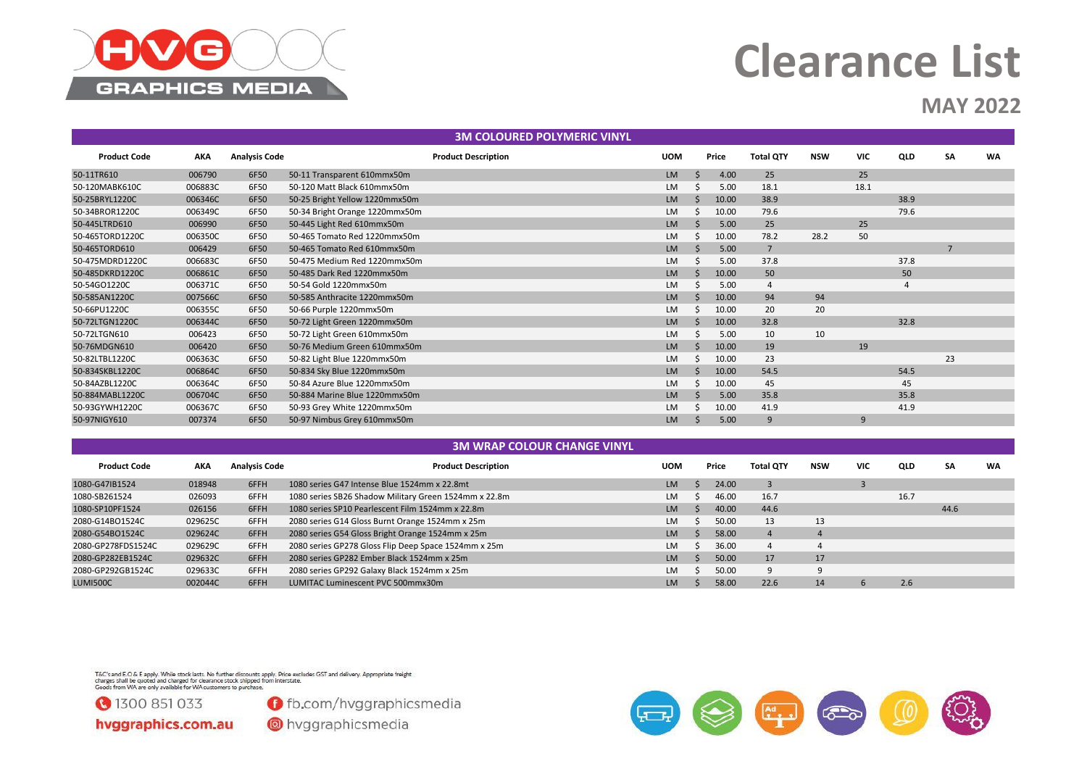

### **MAY 2022**

|                     | <b>3M COLOURED POLYMERIC VINYL</b> |                      |                                |                            |            |    |       |                  |            |      |                |           |           |  |
|---------------------|------------------------------------|----------------------|--------------------------------|----------------------------|------------|----|-------|------------------|------------|------|----------------|-----------|-----------|--|
| <b>Product Code</b> | <b>AKA</b>                         | <b>Analysis Code</b> |                                | <b>Product Description</b> | <b>UOM</b> |    | Price | <b>Total QTY</b> | <b>NSW</b> | VIC  | QLD            | <b>SA</b> | <b>WA</b> |  |
| 50-11TR610          | 006790                             | 6F50                 | 50-11 Transparent 610mmx50m    |                            | <b>LM</b>  | -S | 4.00  | 25               |            | 25   |                |           |           |  |
| 50-120MABK610C      | 006883C                            | 6F50                 | 50-120 Matt Black 610mmx50m    |                            | LM         |    | 5.00  | 18.1             |            | 18.1 |                |           |           |  |
| 50-25BRYL1220C      | 006346C                            | 6F50                 | 50-25 Bright Yellow 1220mmx50m |                            | <b>LM</b>  |    | 10.00 | 38.9             |            |      | 38.9           |           |           |  |
| 50-34BROR1220C      | 006349C                            | 6F50                 | 50-34 Bright Orange 1220mmx50m |                            | LM         | -S | 10.00 | 79.6             |            |      | 79.6           |           |           |  |
| 50-445LTRD610       | 006990                             | 6F50                 | 50-445 Light Red 610mmx50m     |                            | <b>LM</b>  |    | 5.00  | 25               |            | 25   |                |           |           |  |
| 50-465TORD1220C     | 006350C                            | 6F50                 | 50-465 Tomato Red 1220mmx50m   |                            | <b>LM</b>  |    | 10.00 | 78.2             | 28.2       | 50   |                |           |           |  |
| 50-465TORD610       | 006429                             | 6F50                 | 50-465 Tomato Red 610mmx50m    |                            | <b>LM</b>  |    | 5.00  | $\overline{7}$   |            |      |                |           |           |  |
| 50-475MDRD1220C     | 006683C                            | 6F50                 | 50-475 Medium Red 1220mmx50m   |                            | LM         |    | 5.00  | 37.8             |            |      | 37.8           |           |           |  |
| 50-485DKRD1220C     | 006861C                            | 6F50                 | 50-485 Dark Red 1220mmx50m     |                            | <b>LM</b>  |    | 10.00 | 50               |            |      | 50             |           |           |  |
| 50-54GO1220C        | 006371C                            | 6F50                 | 50-54 Gold 1220mmx50m          |                            | <b>LM</b>  |    | 5.00  | $\overline{4}$   |            |      | $\overline{4}$ |           |           |  |
| 50-585AN1220C       | 007566C                            | 6F50                 | 50-585 Anthracite 1220mmx50m   |                            | LM         |    | 10.00 | 94               | 94         |      |                |           |           |  |
| 50-66PU1220C        | 006355C                            | 6F50                 | 50-66 Purple 1220mmx50m        |                            | LM         | S  | 10.00 | 20               | 20         |      |                |           |           |  |
| 50-72LTGN1220C      | 006344C                            | 6F50                 | 50-72 Light Green 1220mmx50m   |                            | <b>LM</b>  |    | 10.00 | 32.8             |            |      | 32.8           |           |           |  |
| 50-72LTGN610        | 006423                             | 6F50                 | 50-72 Light Green 610mmx50m    |                            | <b>LM</b>  |    | 5.00  | 10               | 10         |      |                |           |           |  |
| 50-76MDGN610        | 006420                             | 6F50                 | 50-76 Medium Green 610mmx50m   |                            | LM         |    | 10.00 | 19               |            | 19   |                |           |           |  |
| 50-82LTBL1220C      | 006363C                            | 6F50                 | 50-82 Light Blue 1220mmx50m    |                            | LM         |    | 10.00 | 23               |            |      |                | 23        |           |  |
| 50-834SKBL1220C     | 006864C                            | 6F50                 | 50-834 Sky Blue 1220mmx50m     |                            | <b>LM</b>  |    | 10.00 | 54.5             |            |      | 54.5           |           |           |  |
| 50-84AZBL1220C      | 006364C                            | 6F50                 | 50-84 Azure Blue 1220mmx50m    |                            | <b>LM</b>  |    | 10.00 | 45               |            |      | 45             |           |           |  |
| 50-884MABL1220C     | 006704C                            | 6F50                 | 50-884 Marine Blue 1220mmx50m  |                            | LM         |    | 5.00  | 35.8             |            |      | 35.8           |           |           |  |
| 50-93GYWH1220C      | 006367C                            | 6F50                 | 50-93 Grey White 1220mmx50m    |                            | <b>LM</b>  |    | 10.00 | 41.9             |            |      | 41.9           |           |           |  |
| 50-97NIGY610        | 007374                             | 6F50                 | 50-97 Nimbus Grey 610mmx50m    |                            | LM         |    | 5.00  | 9                |            | 9    |                |           |           |  |

#### **3M WRAP COLOUR CHANGE VINYL**

| <b>Product Code</b> | AKA     | <b>Analysis Code</b> | <b>Product Description</b>                            | UOM       | Price | <b>Total QTY</b> | NSW | VIC. | <b>QLD</b> | SΑ   | WA |
|---------------------|---------|----------------------|-------------------------------------------------------|-----------|-------|------------------|-----|------|------------|------|----|
| 1080-G47IB1524      | 018948  | 6FFH                 | 1080 series G47 Intense Blue 1524mm x 22.8mt          | <b>LM</b> | 24.00 |                  |     |      |            |      |    |
| 1080-SB261524       | 026093  | 6FFH                 | 1080 series SB26 Shadow Military Green 1524mm x 22.8m | <b>LM</b> | 46.00 | 16.7             |     |      | 16.7       |      |    |
| 1080-SP10PF1524     | 026156  | 6FFH                 | 1080 series SP10 Pearlescent Film 1524mm x 22.8m      | <b>LM</b> | 40.00 | 44.6             |     |      |            | 44.6 |    |
| 2080-G14BO1524C     | 029625C | 6FFH                 | 2080 series G14 Gloss Burnt Orange 1524mm x 25m       | <b>LM</b> | 50.00 | 13               | 13  |      |            |      |    |
| 2080-G54BO1524C     | 029624C | 6FFH                 | 2080 series G54 Gloss Bright Orange 1524mm x 25m      | <b>LM</b> | 58.00 | 4                |     |      |            |      |    |
| 2080-GP278FDS1524C  | 029629C | 6FFH                 | 2080 series GP278 Gloss Flip Deep Space 1524mm x 25m  | <b>LM</b> | 36.00 | $\overline{4}$   | 4   |      |            |      |    |
| 2080-GP282EB1524C   | 029632C | 6FFH                 | 2080 series GP282 Ember Black 1524mm x 25m            | <b>LM</b> | 50.00 | 17               | 17  |      |            |      |    |
| 2080-GP292GB1524C   | 029633C | 6FFH                 | 2080 series GP292 Galaxy Black 1524mm x 25m           | <b>LM</b> | 50.00 | 9                | q   |      |            |      |    |
| LUMI500C            | 002044C | 6FFH                 | LUMITAC Luminescent PVC 500mmx30m                     | <b>LM</b> | 58.00 | 22.6             | 14  |      | 2.6        |      |    |

T&C's and E.O & E apply. While stock lasts. No further discounts apply. Price excludes GST and delivery. Appropriate freight<br>charges shall be quoted and charged for clearance stock shipped from interstate.<br>Goods from WA ar



**O** fb.com/hvggraphicsmedia

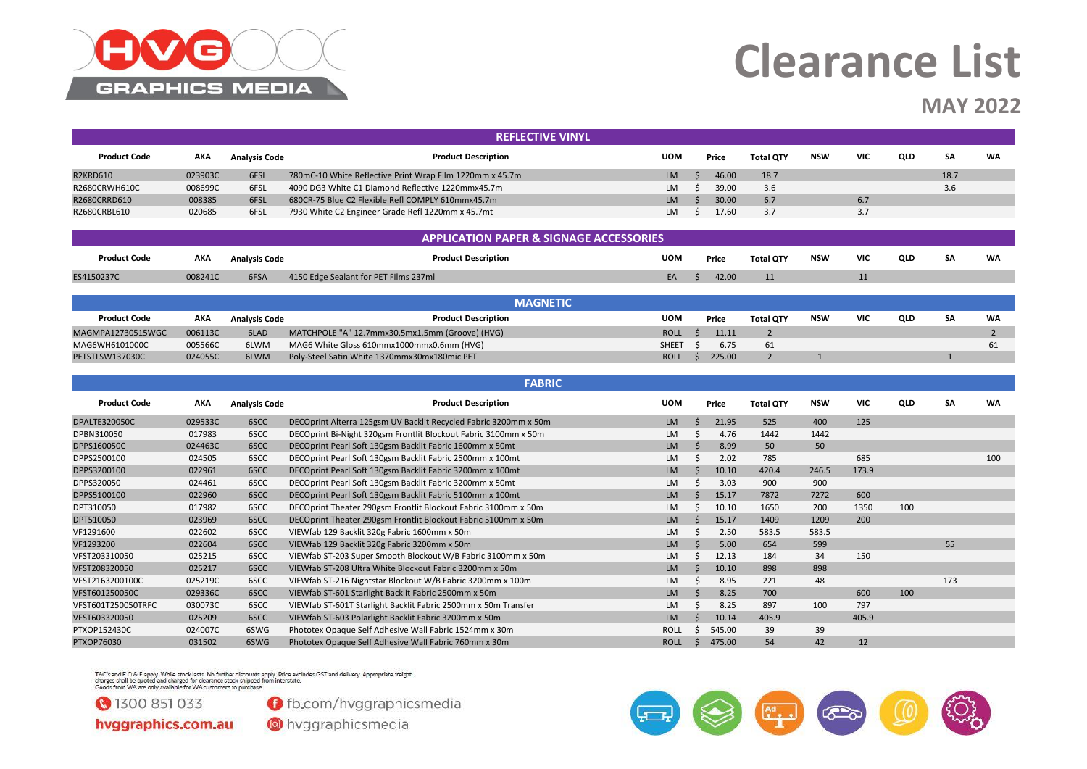

### **MAY 2022**

|                     |         |                      | <b>REFLECTIVE VINYL</b>                                  |            |       |                  |            |            |            |      |    |
|---------------------|---------|----------------------|----------------------------------------------------------|------------|-------|------------------|------------|------------|------------|------|----|
| <b>Product Code</b> | AKA     | <b>Analysis Code</b> | <b>Product Description</b>                               | <b>UOM</b> | Price | <b>Total QTY</b> | <b>NSW</b> | <b>VIC</b> | <b>QLD</b> | SА   | WA |
| <b>R2KRD610</b>     | 023903C | 6FSL                 | 780mC-10 White Reflective Print Wrap Film 1220mm x 45.7m | <b>LM</b>  | 46.00 | 18.7             |            |            |            | 18.7 |    |
| R2680CRWH610C       | 008699C | 6FSL                 | 4090 DG3 White C1 Diamond Reflective 1220mmx45.7m        | LM         | 39.00 | 3.6              |            |            |            | 3.6  |    |
| R2680CRRD610        | 008385  | 6FSL                 | 680CR-75 Blue C2 Flexible Refl COMPLY 610mmx45.7m        | <b>LM</b>  | 30.00 | 6.7              |            | 6.7        |            |      |    |
| R2680CRBL610        | 020685  | 6FSL                 | 7930 White C2 Engineer Grade Refl 1220mm x 45.7mt        | LM         | 17.60 | 3.7              |            | 3.7        |            |      |    |

|                     |            |                      | <b>APPLICATION PAPER &amp; SIGNAGE ACCESSORIES</b> |            |       |                  |            |            |     |    |    |
|---------------------|------------|----------------------|----------------------------------------------------|------------|-------|------------------|------------|------------|-----|----|----|
| <b>Product Code</b> | <b>AKA</b> | <b>Analysis Code</b> | <b>Product Description</b>                         | <b>UOM</b> | Price | <b>Total OTY</b> | <b>NSW</b> | <b>VIC</b> | QLD | SA | WA |
| ES4150237C          | 008241C    | 6FSA                 | 4150 Edge Sealant for PET Films 237ml              | EA.        | 42.00 | 11               |            |            |     |    |    |
|                     |            |                      |                                                    |            |       |                  |            |            |     |    |    |

|                     |         |                      | <b>MAGNETIC</b>                                 |             |        |                  |     |            |     |    |    |
|---------------------|---------|----------------------|-------------------------------------------------|-------------|--------|------------------|-----|------------|-----|----|----|
| <b>Product Code</b> | AKA     | <b>Analysis Code</b> | <b>Product Description</b>                      | <b>UOM</b>  | Price  | <b>Total QTY</b> | NSW | <b>VIC</b> | QLD | SА | WA |
| MAGMPA12730515WGC   | 006113C | 6LAD                 | MATCHPOLE "A" 12.7mmx30.5mx1.5mm (Groove) (HVG) | <b>ROLL</b> | 11.11  |                  |     |            |     |    |    |
| MAG6WH6101000C      | 005566C | 6LWM                 | MAG6 White Gloss 610mmx1000mmx0.6mm (HVG)       | SHEET       | 6.75   | 61               |     |            |     |    |    |
| PETSTLSW137030C     | 024055C | 6LWM                 | Poly-Steel Satin White 1370mmx30mx180mic PET    | <b>ROLL</b> | 225.00 |                  |     |            |     |    |    |

#### **Product Code AKA Analysis Code Product Description UOM Price Total QTY NSW VIC QLD SA WA** DPALTE320050C 029533C 6SCC DECOprint Alterra 125gsm UV Backlit Recycled Fabric 3200mm x 50m LM \$ 21.95 525 400 125 DPBN310050 017983 6SCC DECOprint Bi-Night 320gsm Frontlit Blockout Fabric 3100mm x 50m LM \$ 4.76 1442 1442 DPPS160050C 024463C 6SCC DECOprint Pearl Soft 130gsm Backlit Fabric 1600mm x 50mt LM \$ 8.99 50 50 DPPS2500100 024505 6SCC DECOprint Pearl Soft 130gsm Backlit Fabric 2500mm x 100mt LM \$ 2.02 785 685 685 685 100 DPPS3200100 022961 6SCC DECOprint Pearl Soft 130gsm Backlit Fabric 3200mm x 100mt LM \$ 10.10 420.4 246.5 173.9 DPPS320050 024461 6SCC DECOprint Pearl Soft 130gsm Backlit Fabric 3200mm x 50mt LM \$ 3.03 900 900 DPPS5100100 022960 6SCC DECOprint Pearl Soft 130gsm Backlit Fabric 5100mm x 100mt LM \$ 15.17 7872 7272 600 DPT310050 017982 6SCC DECOprint Theater 290gsm Frontlit Blockout Fabric 3100mm x 50m LM \$ 10.10 1650 200 1350 100 DPT510050 023969 6SCC DECOprint Theater 290gsm Frontlit Blockout Fabric 5100mm x 50m LM \$ 15.17 1409 1209 200 VF1291600 022602 6SCC VIEWfab 129 Backlit 320g Fabric 1600mm x 50m LM \$ 2.50 583.5 583.5 583.5 VF1293200 022604 6SCC VIEWfab 129 Backlit 320g Fabric 3200mm x 50m LM \$ 5.00 654 599 55 VFST203310050 025215 6SCC VIEWfab ST-203 Super Smooth Blockout W/B Fabric 3100mm x 50m LM \$ 12.13 184 34 150 VFST208320050 025217 6SCC VIEWfab ST-208 Ultra White Blockout Fabric 3200mm x 50m LM \$ 10.10 898 898 VFST2163200100C 025219C 6SCC VIEWfab ST-216 Nightstar Blockout W/B Fabric 3200mm x 100m LM \$ 8.95 221 48 173 VFST601250050C 029336C 6SCC VIEWfab ST-601 Starlight Backlit Fabric 2500mm x 50m LM \$ 8.25 700 600 100 VFST601T250050TRFC 030073C 6SCC VIEWfab ST-601T Starlight Backlit Fabric 2500mm x 50m Transfer LM C 8.25 897 100 797 VFST603320050 025209 6SCC VIEWfab ST-603 Polarlight Backlit Fabric 3200mm x 50m LM \$ 10.14 405.9 405.9 405.9 PTXOP152430C 024007C 6SWG Phototex Opaque Self Adhesive Wall Fabric 1524mm x 30m ROLL \$ 545.00 39 39 PTXOP76030 031502 6SWG Phototex Opaque Self Adhesive Wall Fabric 760mm x 30m ROLL \$ 475.00 54 42 12 **FABRIC**

T&C's and E.O & E apply. While stock lasts. No further discounts apply. Price excludes GST and delivery. Appropriate freight. charges shall be quoted and charged for clearance stock shipped from interstate Goods from WA are only available for WA customers to purchase



**O** fb.com/hyggraphicsmedia

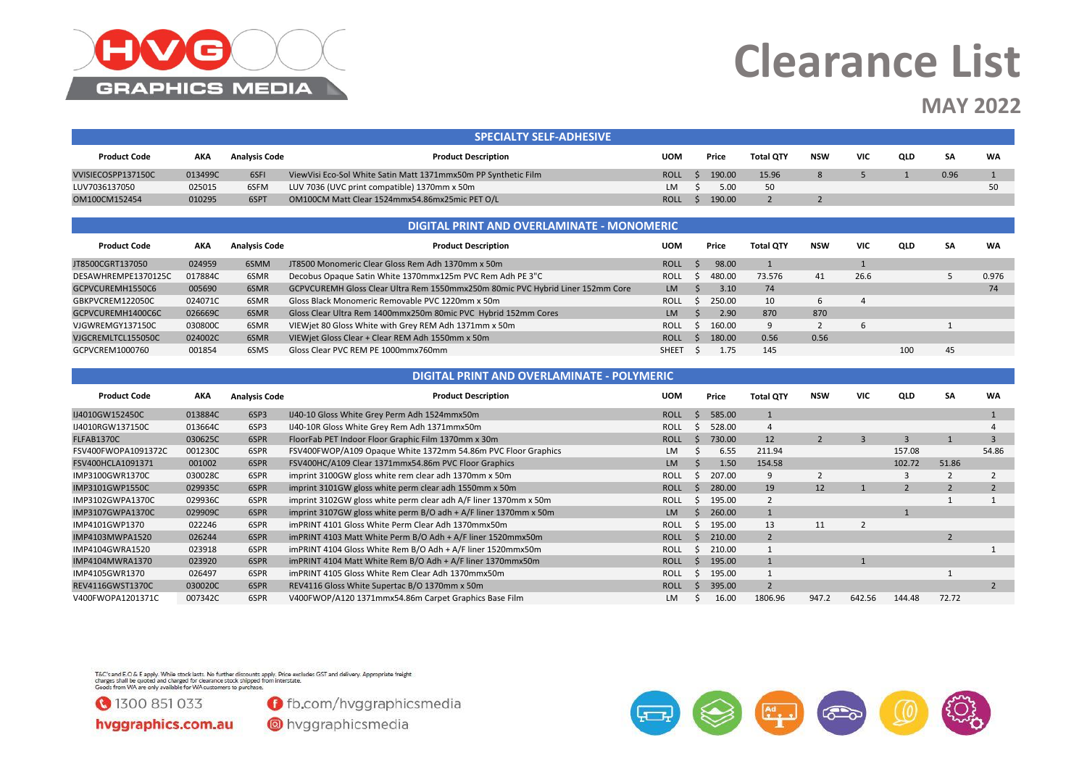

### **MAY 2022**

|                     |         |                      | <b>SPECIALTY SELF-ADHESIVE</b>                                 |             |        |                  |            |     |            |      |    |
|---------------------|---------|----------------------|----------------------------------------------------------------|-------------|--------|------------------|------------|-----|------------|------|----|
| <b>Product Code</b> | AKA     | <b>Analysis Code</b> | <b>Product Description</b>                                     | <b>UOM</b>  | Price  | <b>Total OTY</b> | <b>NSW</b> | VIC | <b>QLD</b> | SΑ   | WA |
| VVISIECOSPP137150C  | 013499C | 6SFI                 | ViewVisi Eco-Sol White Satin Matt 1371mmx50m PP Synthetic Film | <b>ROLL</b> | 190.00 | 15.96            |            |     |            | 0.96 |    |
| LUV7036137050       | 025015  | 6SFM                 | LUV 7036 (UVC print compatible) 1370mm x 50m                   | LM.         | 5.00   | 50               |            |     |            |      |    |
| OM100CM152454       | 010295  | 6SPT                 | OM100CM Matt Clear 1524mmx54.86mx25mic PET O/L                 | <b>ROLL</b> | 190.00 |                  |            |     |            |      |    |

|                     |         |                      | <b>DIGITAL PRINT AND OVERLAMINATE - MONOMERIC</b>                              |              |        |                  |      |            |     |    |       |
|---------------------|---------|----------------------|--------------------------------------------------------------------------------|--------------|--------|------------------|------|------------|-----|----|-------|
| <b>Product Code</b> | AKA     | <b>Analysis Code</b> | <b>Product Description</b>                                                     | UOM          | Price  | <b>Total OTY</b> | NSW  | <b>VIC</b> | QLD | SA | WA    |
| JT8500CGRT137050    | 024959  | 6SMM                 | JT8500 Monomeric Clear Gloss Rem Adh 1370mm x 50m                              | <b>ROLL</b>  | 98.00  |                  |      |            |     |    |       |
| DESAWHREMPE1370125C | 017884C | 6SMR                 | Decobus Opaque Satin White 1370mmx125m PVC Rem Adh PE 3"C                      | <b>ROLL</b>  | 480.00 | 73.576           | 41   | 26.6       |     |    | 0.976 |
| GCPVCUREMH1550C6    | 005690  | 6SMR                 | GCPVCUREMH Gloss Clear Ultra Rem 1550mmx250m 80mic PVC Hybrid Liner 152mm Core | LM           | 3.10   | 74               |      |            |     |    | 74    |
| GBKPVCREM122050C    | 024071C | 6SMR                 | Gloss Black Monomeric Removable PVC 1220mm x 50m                               | <b>ROLL</b>  | 250.00 | 10               | 6    |            |     |    |       |
| GCPVCUREMH1400C6C   | 026669C | 6SMR                 | Gloss Clear Ultra Rem 1400mmx250m 80mic PVC Hybrid 152mm Cores                 | LM           | 2.90   | 870              | 870  |            |     |    |       |
| VJGWREMGY137150C    | 030800C | 6SMR                 | VIEWiet 80 Gloss White with Grey REM Adh 1371mm x 50m                          | <b>ROLL</b>  | 160.00 | 9                |      |            |     |    |       |
| VJGCREMLTCL155050C  | 024002C | 6SMR                 | VIEWiet Gloss Clear + Clear REM Adh 1550mm x 50m                               | <b>ROLL</b>  | 180.00 | 0.56             | 0.56 |            |     |    |       |
| GCPVCREM1000760     | 001854  | 6SMS                 | Gloss Clear PVC REM PE 1000mmx760mm                                            | <b>SHEET</b> | 1.75   | 145              |      |            | 100 | 45 |       |

|                     |            |                      | DIGITAL PRINT AND OVERLAMINATE - POLYMERIC                       |             |        |                  |            |                |                |       |           |
|---------------------|------------|----------------------|------------------------------------------------------------------|-------------|--------|------------------|------------|----------------|----------------|-------|-----------|
| <b>Product Code</b> | <b>AKA</b> | <b>Analysis Code</b> | <b>Product Description</b>                                       | <b>UOM</b>  | Price  | <b>Total QTY</b> | <b>NSW</b> | <b>VIC</b>     | QLD            | SA    | <b>WA</b> |
| IJ4010GW152450C     | 013884C    | 6SP3                 | IJ40-10 Gloss White Grey Perm Adh 1524mmx50m                     | <b>ROLL</b> | 585.00 |                  |            |                |                |       |           |
| IJ4010RGW137150C    | 013664C    | 6SP3                 | IJ40-10R Gloss White Grey Rem Adh 1371mmx50m                     | <b>ROLL</b> | 528.00 |                  |            |                |                |       |           |
| FLFAB1370C          | 030625C    | 6SPR                 | FloorFab PET Indoor Floor Graphic Film 1370mm x 30m              | <b>ROLL</b> | 730.00 | 12               |            | $\overline{3}$ | $\overline{3}$ |       | 3         |
| FSV400FWOPA1091372C | 001230C    | 6SPR                 | FSV400FWOP/A109 Opaque White 1372mm 54.86m PVC Floor Graphics    | <b>LM</b>   | 6.55   | 211.94           |            |                | 157.08         |       | 54.86     |
| FSV400HCLA1091371   | 001002     | 6SPR                 | FSV400HC/A109 Clear 1371mmx54.86m PVC Floor Graphics             | LM          | 1.50   | 154.58           |            |                | 102.72         | 51.86 |           |
| IMP3100GWR1370C     | 030028C    | 6SPR                 | imprint 3100GW gloss white rem clear adh 1370mm x 50m            | <b>ROLL</b> | 207.00 | 9                |            |                | 3              |       |           |
| IMP3101GWP1550C     | 029935C    | 6SPR                 | imprint 3101GW gloss white perm clear adh 1550mm x 50m           | <b>ROLL</b> | 280.00 | 19               | 12         |                |                |       |           |
| IMP3102GWPA1370C    | 029936C    | 6SPR                 | imprint 3102GW gloss white perm clear adh A/F liner 1370mm x 50m | <b>ROLL</b> | 195.00 |                  |            |                |                |       |           |
| IMP3107GWPA1370C    | 029909C    | 6SPR                 | imprint 3107GW gloss white perm B/O adh + A/F liner 1370mm x 50m | <b>LM</b>   | 260.00 |                  |            |                |                |       |           |
| IMP4101GWP1370      | 022246     | 6SPR                 | imPRINT 4101 Gloss White Perm Clear Adh 1370mmx50m               | <b>ROLL</b> | 195.00 | 13               | 11         |                |                |       |           |
| IMP4103MWPA1520     | 026244     | 6SPR                 | imPRINT 4103 Matt White Perm B/O Adh + A/F liner 1520mmx50m      | <b>ROLL</b> | 210.00 |                  |            |                |                |       |           |
| IMP4104GWRA1520     | 023918     | 6SPR                 | imPRINT 4104 Gloss White Rem B/O Adh + A/F liner 1520mmx50m      | <b>ROLL</b> | 210.00 |                  |            |                |                |       |           |
| IMP4104MWRA1370     | 023920     | 6SPR                 | imPRINT 4104 Matt White Rem B/O Adh + A/F liner 1370mmx50m       | <b>ROLL</b> | 195.00 |                  |            |                |                |       |           |
| IMP4105GWR1370      | 026497     | 6SPR                 | imPRINT 4105 Gloss White Rem Clear Adh 1370mmx50m                | <b>ROLL</b> | 195.00 |                  |            |                |                |       |           |
| REV4116GWST1370C    | 030020C    | 6SPR                 | REV4116 Gloss White Supertac B/O 1370mm x 50m                    | <b>ROLL</b> | 395.00 |                  |            |                |                |       |           |
| V400FWOPA1201371C   | 007342C    | 6SPR                 | V400FWOP/A120 1371mmx54.86m Carpet Graphics Base Film            | LM          | 16.00  | 1806.96          | 947.2      | 642.56         | 144.48         | 72.72 |           |

T&C's and E.O & E apply. While stock lasts. No further discounts apply. Price excludes GST and delivery. Appropriate freight<br>charges shall be quoted and charged for clearance stock shipped from interstate.<br>Goods from WA ar



**O** fb.com/hvggraphicsmedia

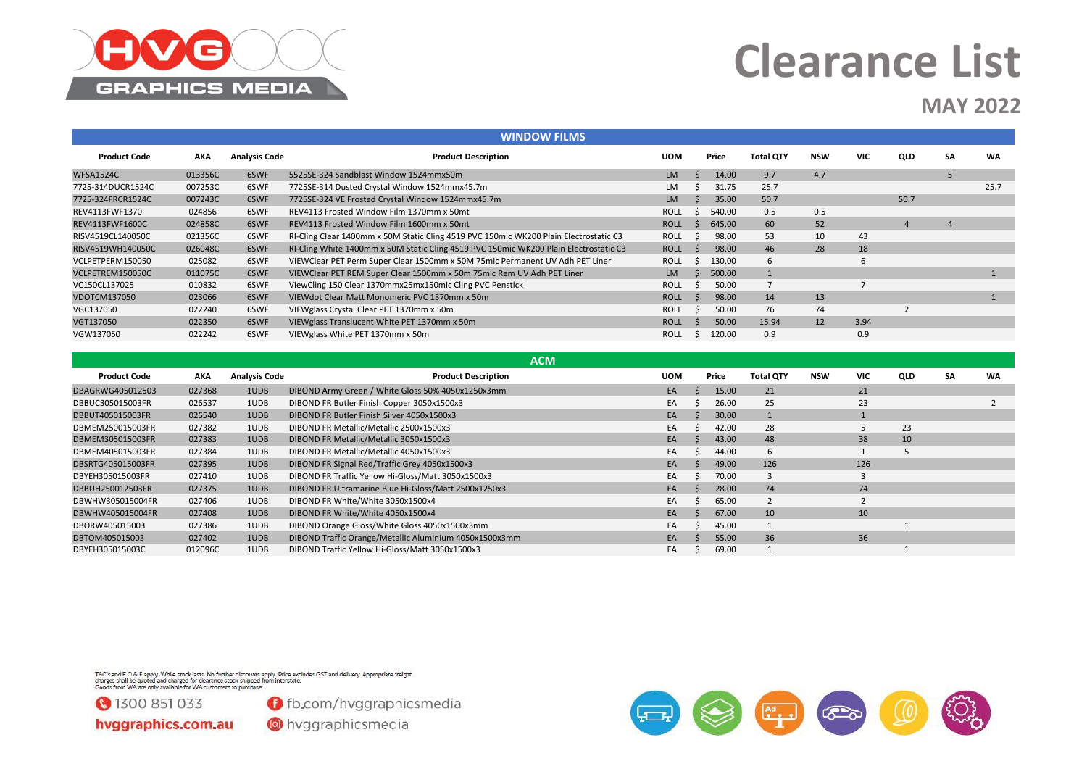

### **MAY 2022**

|                     |         |                      | <b>WINDOW FILMS</b>                                                                                                                                                                                                            |             |    |               |                  |            |            |                |           |           |
|---------------------|---------|----------------------|--------------------------------------------------------------------------------------------------------------------------------------------------------------------------------------------------------------------------------|-------------|----|---------------|------------------|------------|------------|----------------|-----------|-----------|
| <b>Product Code</b> | AKA     | <b>Analysis Code</b> | <b>Product Description</b>                                                                                                                                                                                                     | <b>UOM</b>  |    | Price         | <b>Total QTY</b> | NSW        | <b>VIC</b> | QLD            | <b>SA</b> | <b>WA</b> |
| <b>WFSA1524C</b>    | 013356C | 6SWF                 | 5525SE-324 Sandblast Window 1524mmx50m                                                                                                                                                                                         | <b>LM</b>   | S. | 14.00         | 9.7              | 4.7        |            |                | 5         |           |
| 7725-314DUCR1524C   | 007253C | 6SWF                 | 7725SE-314 Dusted Crystal Window 1524mmx45.7m                                                                                                                                                                                  | LM          |    | 31.75         | 25.7             |            |            |                |           | 25.7      |
| 7725-324FRCR1524C   | 007243C | 6SWF                 | 7725SE-324 VE Frosted Crystal Window 1524mmx45.7m                                                                                                                                                                              | <b>LM</b>   |    | 35.00         | 50.7             |            |            | 50.7           |           |           |
| REV4113FWF1370      | 024856  | 6SWF                 | REV4113 Frosted Window Film 1370mm x 50mt                                                                                                                                                                                      | <b>ROLL</b> | -S | 540.00        | 0.5              | 0.5        |            |                |           |           |
| REV4113FWF1600C     | 024858C | 6SWF                 | REV4113 Frosted Window Film 1600mm x 50mt                                                                                                                                                                                      | <b>ROLL</b> | -S | 645.00        | 60               | 52         |            | $\overline{4}$ |           |           |
| RISV4519CL140050C   | 021356C | 6SWF                 | RI-Cling Clear 1400mm x 50M Static Cling 4519 PVC 150mic WK200 Plain Electrostatic C3                                                                                                                                          | <b>ROLL</b> |    | 98.00         | 53               | 10         | 43         |                |           |           |
| RISV4519WH140050C   | 026048C | 6SWF                 | RI-Cling White 1400mm x 50M Static Cling 4519 PVC 150mic WK200 Plain Electrostatic C3                                                                                                                                          | <b>ROLL</b> | -S | 98.00         | 46               | 28         | 18         |                |           |           |
| VCLPETPERM150050    | 025082  | 6SWF                 | VIEWClear PET Perm Super Clear 1500mm x 50M 75mic Permanent UV Adh PET Liner                                                                                                                                                   | <b>ROLL</b> | S  | 130.00        | 6                |            | 6          |                |           |           |
| VCLPETREM150050C    | 011075C | 6SWF                 | VIEWClear PET REM Super Clear 1500mm x 50m 75mic Rem UV Adh PET Liner                                                                                                                                                          | <b>LM</b>   |    | 500.00        |                  |            |            |                |           |           |
| VC150CL137025       | 010832  | 6SWF                 | ViewCling 150 Clear 1370mmx25mx150mic Cling PVC Penstick                                                                                                                                                                       | <b>ROLL</b> |    | 50.00         |                  |            |            |                |           |           |
| VDOTCM137050        | 023066  | 6SWF                 | VIEWdot Clear Matt Monomeric PVC 1370mm x 50m                                                                                                                                                                                  | <b>ROLL</b> | -S | 98.00         | 14               | 13         |            |                |           |           |
| VGC137050           | 022240  | 6SWF                 | VIEWglass Crystal Clear PET 1370mm x 50m                                                                                                                                                                                       | <b>ROLL</b> | -S | 50.00         | 76               | 74         |            |                |           |           |
| VGT137050           | 022350  | 6SWF                 | VIEWglass Translucent White PET 1370mm x 50m                                                                                                                                                                                   | <b>ROLL</b> |    | 50.00         | 15.94            | 12         | 3.94       |                |           |           |
| VGW137050           | 022242  | 6SWF                 | VIEWglass White PET 1370mm x 50m                                                                                                                                                                                               | ROLL        | -S | 120.00        | 0.9              |            | 0.9        |                |           |           |
|                     |         |                      |                                                                                                                                                                                                                                |             |    |               |                  |            |            |                |           |           |
|                     |         |                      | <b>ACM</b>                                                                                                                                                                                                                     |             |    |               |                  |            |            |                |           |           |
| <b>Product Code</b> | AKA     | <b>Analysis Code</b> | <b>Product Description</b>                                                                                                                                                                                                     | <b>UOM</b>  |    | Price         | <b>Total QTY</b> | <b>NSW</b> | <b>VIC</b> | QLD            | SA        | <b>WA</b> |
| DBAGRWG405012503    | 027368  | 1UDB                 | DIBOND Army Green / White Gloss 50% 4050x1250x3mm                                                                                                                                                                              | EA          |    | 15.00         | 21               |            | 21         |                |           |           |
|                     |         | $ -$                 | $P(0,0)$ $P(0,0)$ $P(1,0)$ $P(0,0)$ $P(0,0)$ $P(0,0)$ $P(0,0)$ $P(0,0)$ $P(0,0)$ $P(0,0)$ $P(0,0)$ $P(0,0)$ $P(0,0)$ $P(0,0)$ $P(0,0)$ $P(0,0)$ $P(0,0)$ $P(0,0)$ $P(0,0)$ $P(0,0)$ $P(0,0)$ $P(0,0)$ $P(0,0)$ $P(0,0)$ $P(0,$ |             |    | $\sim$ $\sim$ |                  |            |            |                |           |           |

| Product Code      | AKA     | Analysis Code | <b>Product Description</b>                             | UUM | <b>Price</b> | Total QTY | <b>NSW</b> | VIL. | <b>QLD</b> | SА | <b>WA</b> |
|-------------------|---------|---------------|--------------------------------------------------------|-----|--------------|-----------|------------|------|------------|----|-----------|
| DBAGRWG405012503  | 027368  | 1UDB          | DIBOND Army Green / White Gloss 50% 4050x1250x3mm      | EA  | 15.00        | 21        |            | 21   |            |    |           |
| DBBUC305015003FR  | 026537  | 1UDB          | DIBOND FR Butler Finish Copper 3050x1500x3             | EA  | 26.00        | 25        |            | 23   |            |    |           |
| DBBUT405015003FR  | 026540  | 1UDB          | DIBOND FR Butler Finish Silver 4050x1500x3             | EA  | 30.00        |           |            |      |            |    |           |
| DBMEM250015003FR  | 027382  | 1UDB          | DIBOND FR Metallic/Metallic 2500x1500x3                | EA  | 42.00        | 28        |            |      | 23         |    |           |
| DBMEM305015003FR  | 027383  | 1UDB          | DIBOND FR Metallic/Metallic 3050x1500x3                | EA  | 43.00        | 48        |            | 38   | 10         |    |           |
| DBMEM405015003FR  | 027384  | 1UDB          | DIBOND FR Metallic/Metallic 4050x1500x3                | EA  | 44.00        | 6         |            |      |            |    |           |
| DBSRTG405015003FR | 027395  | 1UDB          | DIBOND FR Signal Red/Traffic Grey 4050x1500x3          | EA  | 49.00        | 126       |            | 126  |            |    |           |
| DBYEH305015003FR  | 027410  | 1UDB          | DIBOND FR Traffic Yellow Hi-Gloss/Matt 3050x1500x3     | EA  | 70.00        |           |            |      |            |    |           |
| DBBUH250012503FR  | 027375  | 1UDB          | DIBOND FR Ultramarine Blue Hi-Gloss/Matt 2500x1250x3   | EA  | 28.00        | 74        |            | 74   |            |    |           |
| DBWHW305015004FR  | 027406  | 1UDB          | DIBOND FR White/White 3050x1500x4                      | EA  | 65.00        |           |            |      |            |    |           |
| DBWHW405015004FR  | 027408  | 1UDB          | DIBOND FR White/White 4050x1500x4                      | EA  | 67.00        | 10        |            | 10   |            |    |           |
| DBORW405015003    | 027386  | 1UDB          | DIBOND Orange Gloss/White Gloss 4050x1500x3mm          | EA  | 45.00        |           |            |      |            |    |           |
| DBTOM405015003    | 027402  | 1UDB          | DIBOND Traffic Orange/Metallic Aluminium 4050x1500x3mm | EA  | 55.00        | 36        |            | 36   |            |    |           |
| DBYEH305015003C   | 012096C | 1UDB          | DIBOND Traffic Yellow Hi-Gloss/Matt 3050x1500x3        | EA  | 69.00        |           |            |      |            |    |           |
|                   |         |               |                                                        |     |              |           |            |      |            |    |           |

T&C's and E.O & E apply. While stock lasts. No further discounts apply. Price excludes GST and delivery. Appropriate freight<br>charges shall be quoted and charged for clearance stock shipped from interstate.<br>Goods from WA ar



**O** fb.com/hvggraphicsmedia

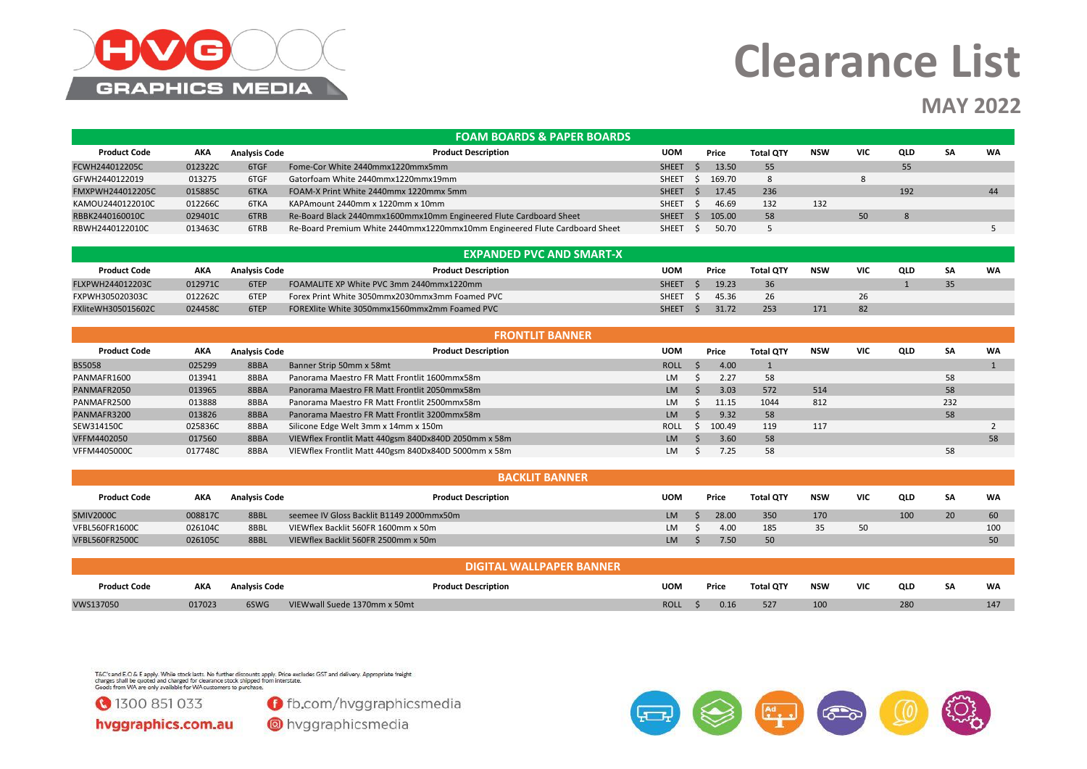

### **MAY 2022**

|                     |         |                      | <b>FOAM BOARDS &amp; PAPER BOARDS</b>                                      |              |        |                  |     |            |     |           |           |
|---------------------|---------|----------------------|----------------------------------------------------------------------------|--------------|--------|------------------|-----|------------|-----|-----------|-----------|
| <b>Product Code</b> | AKA     | <b>Analysis Code</b> | <b>Product Description</b>                                                 | <b>UOM</b>   | Price  | <b>Total QTY</b> | NSW | <b>VIC</b> | QLD | <b>SA</b> | <b>WA</b> |
| FCWH244012205C      | 012322C | 6TGF                 | Fome-Cor White 2440mmx1220mmx5mm                                           | <b>SHEET</b> | 13.50  | 55               |     |            | 55  |           |           |
| GFWH2440122019      | 013275  | 6TGF                 | Gatorfoam White 2440mmx1220mmx19mm                                         | <b>SHEET</b> | 169.70 | 8                |     |            |     |           |           |
| FMXPWH244012205C    | 015885C | 6TKA                 | FOAM-X Print White 2440mmx 1220mmx 5mm                                     | <b>SHEET</b> | 17.45  | 236              |     |            | 192 |           | 44        |
| KAMOU2440122010C    | 012266C | 6TKA                 | KAPAmount 2440mm x 1220mm x 10mm                                           | <b>SHEET</b> | 46.69  | 132              | 132 |            |     |           |           |
| RBBK2440160010C     | 029401C | 6TRB                 | Re-Board Black 2440mmx1600mmx10mm Engineered Flute Cardboard Sheet         | <b>SHEET</b> | 105.00 | 58               |     | 50         | 8   |           |           |
| RBWH2440122010C     | 013463C | 6TRB                 | Re-Board Premium White 2440mmx1220mmx10mm Engineered Flute Cardboard Sheet | <b>SHEET</b> | 50.70  |                  |     |            |     |           |           |

| <b>EXPANDED PVC AND SMART-X</b> |            |                      |                                                |              |  |       |                  |            |            |     |    |    |
|---------------------------------|------------|----------------------|------------------------------------------------|--------------|--|-------|------------------|------------|------------|-----|----|----|
| <b>Product Code</b>             | <b>AKA</b> | <b>Analysis Code</b> | <b>Product Description</b>                     | <b>UOM</b>   |  | Price | <b>Total OTY</b> | <b>NSW</b> | <b>VIC</b> | QLD | SA | WA |
| FLXPWH244012203C                | 012971C    | 6TEP                 | FOAMALITE XP White PVC 3mm 2440mmx1220mm       | <b>SHEET</b> |  | 19.23 | 36               |            |            |     | 35 |    |
| FXPWH305020303C                 | 012262C    | 6TEP                 | Forex Print White 3050mmx2030mmx3mm Foamed PVC | <b>SHEET</b> |  | 45.36 | 26               |            |            |     |    |    |
| FXliteWH305015602C              | 024458C    | 6TEP                 | FOREXlite White 3050mmx1560mmx2mm Foamed PVC   | <b>SHEET</b> |  | 31.72 | 253              | 171        |            |     |    |    |

|                     |         |                      | <b>FRONTLIT BANNER</b>                               |             |        |                  |            |            |     |     |    |
|---------------------|---------|----------------------|------------------------------------------------------|-------------|--------|------------------|------------|------------|-----|-----|----|
| <b>Product Code</b> | AKA     | <b>Analysis Code</b> | <b>Product Description</b>                           | <b>UOM</b>  | Price  | <b>Total QTY</b> | <b>NSW</b> | <b>VIC</b> | QLD | SA  | WA |
| <b>BS5058</b>       | 025299  | 8BBA                 | Banner Strip 50mm x 58mt                             | <b>ROLL</b> | 4.00   |                  |            |            |     |     |    |
| PANMAFR1600         | 013941  | 8BBA                 | Panorama Maestro FR Matt Frontlit 1600mmx58m         | LM          | 2.27   | 58               |            |            |     | 58  |    |
| PANMAFR2050         | 013965  | 8BBA                 | Panorama Maestro FR Matt Frontlit 2050mmx58m         | <b>LM</b>   | 3.03   | 572              | 514        |            |     | 58  |    |
| PANMAFR2500         | 013888  | 8BBA                 | Panorama Maestro FR Matt Frontlit 2500mmx58m         | <b>LM</b>   | 11.15  | 1044             | 812        |            |     | 232 |    |
| PANMAFR3200         | 013826  | 8BBA                 | Panorama Maestro FR Matt Frontlit 3200mmx58m         | <b>LM</b>   | 9.32   | 58               |            |            |     | 58  |    |
| SEW314150C          | 025836C | 8BBA                 | Silicone Edge Welt 3mm x 14mm x 150m                 | <b>ROLL</b> | 100.49 | 119              | 117        |            |     |     |    |
| VFFM4402050         | 017560  | 8BBA                 | VIEWflex Frontlit Matt 440gsm 840Dx840D 2050mm x 58m | <b>LM</b>   | 3.60   | 58               |            |            |     |     | 58 |
| VFFM4405000C        | 017748C | 8BBA                 | VIEWflex Frontlit Matt 440gsm 840Dx840D 5000mm x 58m | LM          | 7.25   | 58               |            |            |     | 58  |    |

| <b>BACKLIT BANNER</b> |            |                      |                                          |            |  |       |                  |            |     |     |    |     |
|-----------------------|------------|----------------------|------------------------------------------|------------|--|-------|------------------|------------|-----|-----|----|-----|
| <b>Product Code</b>   | <b>AKA</b> | <b>Analysis Code</b> | <b>Product Description</b>               | <b>UOM</b> |  | Price | <b>Total QTY</b> | <b>NSW</b> | VIC | QLD | SA | WA  |
| <b>SMIV2000C</b>      | 008817C    | 8BBL                 | seemee IV Gloss Backlit B1149 2000mmx50m | LM.        |  | 28.00 | 350              | 170        |     | 100 | 20 | 60  |
| VFBL560FR1600C        | 026104C    | 8BBL                 | VIEWflex Backlit 560FR 1600mm x 50m      | <b>LM</b>  |  | 4.00  | 185              |            |     |     |    | 100 |
| <b>VFBL560FR2500C</b> | 026105C    | 8BBL                 | VIEWflex Backlit 560FR 2500mm x 50m      | <b>LM</b>  |  | 7.50  | 50               |            |     |     |    | 50  |

|                     |        |                      |                              | <b>NDIGITAL WALLPAPER BANNER</b> |             |       |                  |     |            |     |    |           |
|---------------------|--------|----------------------|------------------------------|----------------------------------|-------------|-------|------------------|-----|------------|-----|----|-----------|
| <b>Product Code</b> | AKA    | <b>Analysis Code</b> |                              | <b>Product Description</b>       | <b>UOM</b>  | Price | <b>Total QTY</b> | NSW | <b>VIC</b> | QLD | SΑ | <b>WA</b> |
| VWS137050           | 017023 | 6SWG                 | VIEWwall Suede 1370mm x 50mt |                                  | <b>ROLL</b> | 0.16  | 527              | 100 |            | 280 |    | 147       |

T&C's and E.O & E apply. While stock lasts. No further discounts apply. Price excludes GST and delivery. Appropriate freight<br>charges shall be quoted and charged for clearance stock shipped from interstate.<br>Goods from WA ar



**O** fb.com/hvggraphicsmedia

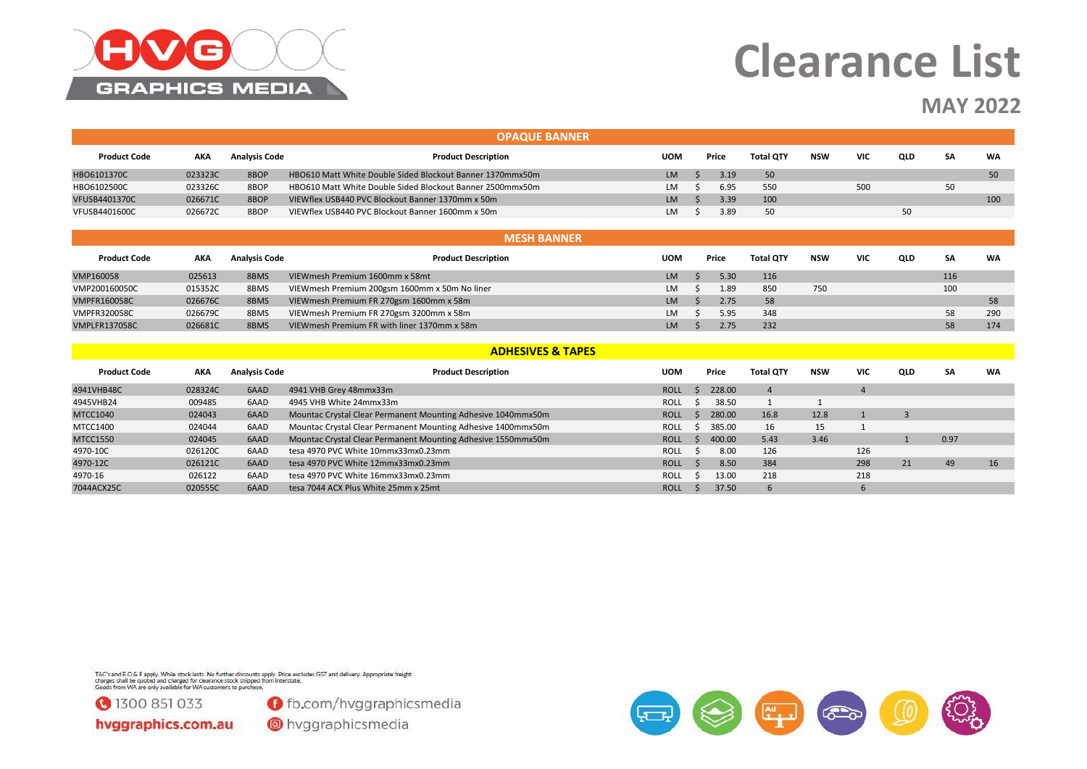

### **MAY 2022**

|                      |            |                      | <b>OPAQUE BANNER</b>                                         |             |              |        |                  |            |                |                |      |           |
|----------------------|------------|----------------------|--------------------------------------------------------------|-------------|--------------|--------|------------------|------------|----------------|----------------|------|-----------|
| <b>Product Code</b>  | <b>AKA</b> | <b>Analysis Code</b> | <b>Product Description</b>                                   | <b>UOM</b>  |              | Price  | <b>Total QTY</b> | <b>NSW</b> | <b>VIC</b>     | QLD            | SA   | <b>WA</b> |
| HBO6101370C          | 023323C    | 8BOP                 | HBO610 Matt White Double Sided Blockout Banner 1370mmx50m    | <b>LM</b>   | $\varsigma$  | 3.19   | 50               |            |                |                |      | 50        |
| HBO6102500C          | 023326C    | 8BOP                 | HBO610 Matt White Double Sided Blockout Banner 2500mmx50m    | <b>LM</b>   |              | 6.95   | 550              |            | 500            |                | 50   |           |
| <b>VFUSB4401370C</b> | 026671C    | 8BOP                 | VIEWflex USB440 PVC Blockout Banner 1370mm x 50m             | <b>LM</b>   |              | 3.39   | 100              |            |                |                |      | 100       |
| <b>VFUSB4401600C</b> | 026672C    | 8BOP                 | VIEWflex USB440 PVC Blockout Banner 1600mm x 50m             | <b>LM</b>   |              | 3.89   | 50               |            |                | 50             |      |           |
| <b>MESH BANNER</b>   |            |                      |                                                              |             |              |        |                  |            |                |                |      |           |
| <b>Product Code</b>  | <b>AKA</b> | <b>Analysis Code</b> | <b>Product Description</b>                                   | <b>UOM</b>  |              | Price  | <b>Total QTY</b> | <b>NSW</b> | <b>VIC</b>     | QLD            | SA   | <b>WA</b> |
| VMP160058            | 025613     | 8BMS                 | VIEWmesh Premium 1600mm x 58mt                               | <b>LM</b>   |              | 5.30   | 116              |            |                |                | 116  |           |
| VMP200160050C        | 015352C    | 8BMS                 | VIEWmesh Premium 200gsm 1600mm x 50m No liner                | LM          |              | 1.89   | 850              | 750        |                |                | 100  |           |
| <b>VMPFR160058C</b>  | 026676C    | 8BMS                 | VIEWmesh Premium FR 270gsm 1600mm x 58m                      | <b>LM</b>   |              | 2.75   | 58               |            |                |                |      | 58        |
| <b>VMPFR320058C</b>  | 026679C    | 8BMS                 | VIEWmesh Premium FR 270gsm 3200mm x 58m                      | LM          |              | 5.95   | 348              |            |                |                | 58   | 290       |
| <b>VMPLFR137058C</b> | 026681C    | 8BMS                 | VIEWmesh Premium FR with liner 1370mm x 58m                  | <b>LM</b>   |              | 2.75   | 232              |            |                |                | 58   | 174       |
|                      |            |                      | <b>ADHESIVES &amp; TAPES</b>                                 |             |              |        |                  |            |                |                |      |           |
| <b>Product Code</b>  | <b>AKA</b> | <b>Analysis Code</b> | <b>Product Description</b>                                   | <b>UOM</b>  |              | Price  | <b>Total QTY</b> | <b>NSW</b> | <b>VIC</b>     | QLD            | SA   | <b>WA</b> |
| 4941VHB48C           | 028324C    | 6AAD                 | 4941 VHB Grey 48mmx33m                                       | <b>ROLL</b> | $\varsigma$  | 228.00 | $\overline{4}$   |            | $\overline{4}$ |                |      |           |
| 4945VHB24            | 009485     | 6AAD                 | 4945 VHB White 24mmx33m                                      | <b>ROLL</b> | Ŝ.           | 38.50  | 1                | 1          |                |                |      |           |
| <b>MTCC1040</b>      | 024043     | 6AAD                 | Mountac Crystal Clear Permanent Mounting Adhesive 1040mmx50m | <b>ROLL</b> | <sup>S</sup> | 280.00 | 16.8             | 12.8       | $\mathbf{1}$   | $\overline{3}$ |      |           |
| <b>MTCC1400</b>      | 024044     | 6AAD                 | Mountac Crystal Clear Permanent Mounting Adhesive 1400mmx50m | <b>ROLL</b> | Ŝ.           | 385.00 | 16               | 15         | 1              |                |      |           |
| <b>MTCC1550</b>      | 024045     | 6AAD                 | Mountac Crystal Clear Permanent Mounting Adhesive 1550mmx50m | <b>ROLL</b> | S.           | 400.00 | 5.43             | 3.46       |                | $\mathbf{1}$   | 0.97 |           |
| 4970-10C             | 026120C    | 6AAD                 | tesa 4970 PVC White 10mmx33mx0.23mm                          | <b>ROLL</b> | - Ś          | 8.00   | 126              |            | 126            |                |      |           |
| 4970-12C             | 026121C    | 6AAD                 | tesa 4970 PVC White 12mmx33mx0.23mm                          | <b>ROLL</b> | - Ś          | 8.50   | 384              |            | 298            | 21             | 49   | 16        |
| 4970-16              | 026122     | 6AAD                 | tesa 4970 PVC White 16mmx33mx0.23mm                          | <b>ROLL</b> | - Ś          | 13.00  | 218              |            | 218            |                |      |           |
| 7044ACX25C           | 020555C    | 6AAD                 | tesa 7044 ACX Plus White 25mm x 25mt                         | <b>ROLL</b> | Ŝ.           | 37.50  | 6                |            | 6              |                |      |           |

T&C's and E.O & E apply. While stock lasts. No further discounts apply. Price excludes GST and delivery. Appropriate freight<br>charges shall be quoted and charged for clearance stock shipped from interstate.<br>Goods from WA ar



**O** fb.com/hvggraphicsmedia